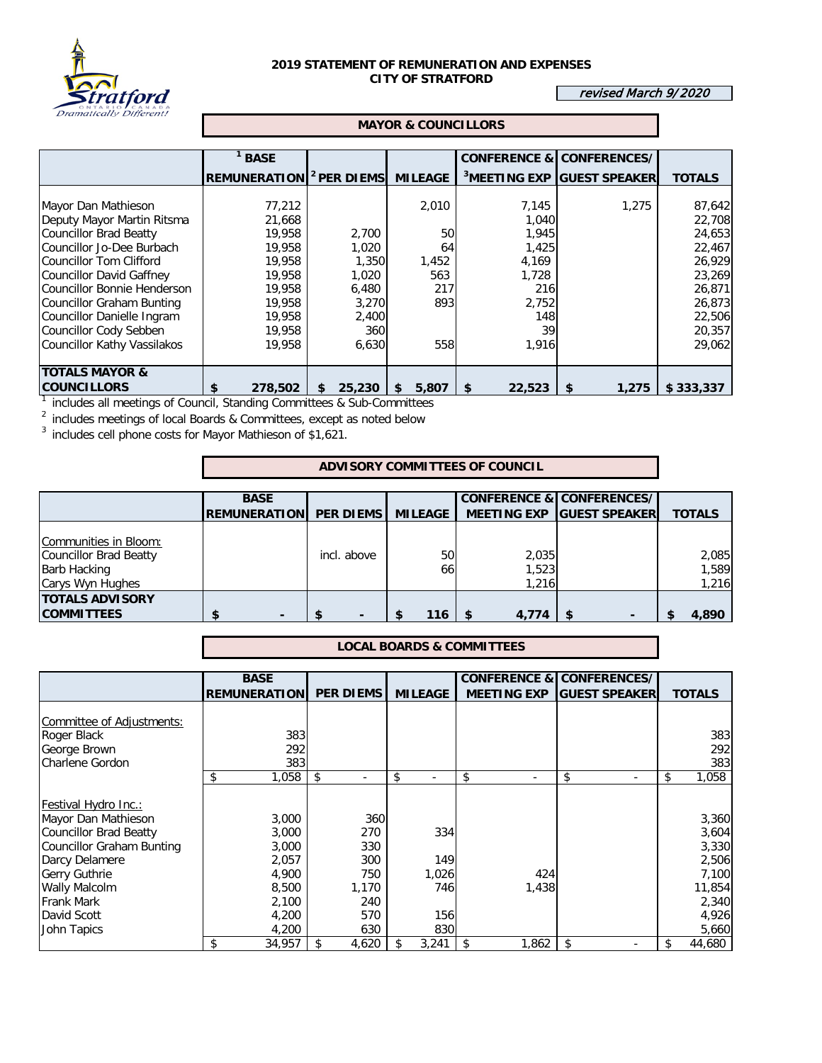

## **2019 STATEMENT OF REMUNERATION AND EXPENSES CITY OF STRATFORD**

revised March 9/2020

## **MAYOR & COUNCILLORS**

|                             | <b>BASE</b>         |                        |                |              | <b>CONFERENCE &amp; CONFERENCES/</b>   |               |
|-----------------------------|---------------------|------------------------|----------------|--------------|----------------------------------------|---------------|
|                             | <b>REMUNERATION</b> | <sup>2</sup> PER DIEMS | <b>MILEAGE</b> |              | <sup>3</sup> MEETING EXP GUEST SPEAKER | <b>TOTALS</b> |
|                             |                     |                        |                |              |                                        |               |
| Mayor Dan Mathieson         | 77,212              |                        | 2,010          | 7,145        | 1,275                                  | 87,642        |
| Deputy Mayor Martin Ritsma  | 21,668              |                        |                | 1,040        |                                        | 22,708        |
| Councillor Brad Beatty      | 19,958              | 2.700                  | 50             | 1,945        |                                        | 24,653        |
| Councillor Jo-Dee Burbach   | 19,958              | 1,020                  | 64             | 1,425        |                                        | 22,467        |
| Councillor Tom Clifford     | 19,958              | 1,350                  | 1,452          | 4,169        |                                        | 26,929        |
| Councillor David Gaffney    | 19,958              | 1,020                  | 563            | 1,728        |                                        | 23,269        |
| Councillor Bonnie Henderson | 19,958              | 6,480                  | 217            | 216          |                                        | 26,871        |
| Councillor Graham Bunting   | 19,958              | 3,270                  | 893            | 2,752        |                                        | 26,873        |
| Councillor Danielle Ingram  | 19,958              | 2,400                  |                | 148          |                                        | 22,506        |
| Councillor Cody Sebben      | 19,958              | 360                    |                | 39           |                                        | 20,357        |
| Councillor Kathy Vassilakos | 19,958              | 6,630                  | 558            | 1,916        |                                        | 29,062        |
|                             |                     |                        |                |              |                                        |               |
| <b>TOTALS MAYOR &amp;</b>   |                     |                        |                |              |                                        |               |
| <b>COUNCILLORS</b>          | 278,502<br>\$       | 25,230<br>\$           | 5,807<br>S.    | 22,523<br>\$ | 1,275<br>\$                            | \$333.337     |

<sup>1</sup> includes all meetings of Council, Standing Committees & Sub-Committees

 $2$  includes meetings of local Boards & Committees, except as noted below

 $3$  includes cell phone costs for Mayor Mathieson of \$1,621.

## **ADVISORY COMMITTEES OF COUNCIL**

|                                                                        | <b>BASE</b>                   |             |                |                | <b>CONFERENCE &amp; CONFERENCES/</b> |                |
|------------------------------------------------------------------------|-------------------------------|-------------|----------------|----------------|--------------------------------------|----------------|
|                                                                        | <b>REMUNERATION PER DIEMS</b> |             | <b>MILEAGE</b> |                | MEETING EXP GUEST SPEAKER            | <b>TOTALS</b>  |
| Communities in Bloom:<br>Councillor Brad Beatty<br><b>Barb Hacking</b> |                               | incl. above | 50<br>66       | 2,035<br>1,523 |                                      | 2,085<br>1,589 |
| Carys Wyn Hughes                                                       |                               |             |                | 1,216          |                                      | 1,216          |
| <b>TOTALS ADVISORY</b><br><b>COMMITTEES</b>                            |                               |             | 116            | 4.774          |                                      | 4,890          |

## **LOCAL BOARDS & COMMITTEES**

|                           | <b>BASE</b>         |                  |       |                                | <b>CONFERENCE &amp; CONFERENCES/</b> |                      |               |
|---------------------------|---------------------|------------------|-------|--------------------------------|--------------------------------------|----------------------|---------------|
|                           | <b>REMUNERATION</b> | <b>PER DIEMS</b> |       | <b>MILEAGE</b>                 | <b>MEETING EXP</b>                   | <b>GUEST SPEAKER</b> | <b>TOTALS</b> |
|                           |                     |                  |       |                                |                                      |                      |               |
| Committee of Adjustments: |                     |                  |       |                                |                                      |                      |               |
| Roger Black               | 383                 |                  |       |                                |                                      |                      | 383           |
| George Brown              | 292                 |                  |       |                                |                                      |                      | 2921          |
| Charlene Gordon           | 383                 |                  |       |                                |                                      |                      | 383           |
|                           | \$<br>1,058         | \$               |       | \$<br>$\overline{\phantom{a}}$ | \$<br>٠                              | \$<br>۰              | \$<br>1,058   |
| Festival Hydro Inc.:      |                     |                  |       |                                |                                      |                      |               |
| Mayor Dan Mathieson       | 3,000               |                  | 360   |                                |                                      |                      | 3,360         |
| Councillor Brad Beatty    | 3,000               |                  | 270   | 334                            |                                      |                      | 3,604         |
| Councillor Graham Bunting | 3,000               |                  | 330   |                                |                                      |                      | 3,330         |
| Darcy Delamere            | 2,057               |                  | 300   | 149                            |                                      |                      | 2,506         |
| <b>Gerry Guthrie</b>      | 4,900               |                  | 750   | 1,026                          | 424                                  |                      | 7,100         |
| <b>Wally Malcolm</b>      | 8,500               |                  | 1,170 | 746                            | 1,438                                |                      | 11,854        |
| <b>Frank Mark</b>         | 2,100               |                  | 240   |                                |                                      |                      | 2,340         |
| David Scott               | 4,200               |                  | 570   | 156                            |                                      |                      | 4,926         |
| John Tapics               | 4,200               |                  | 630   | 830                            |                                      |                      | 5,660         |
|                           | \$<br>34,957        |                  | 4,620 | 3,241                          | \$<br>1,862                          | \$                   | 44,680        |